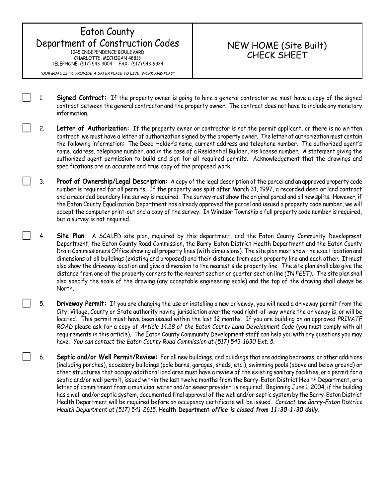## Eaton County Department of Construction Codes 1045 INDEPENDENCE BOULEVARD CHARLOTTE, MICHIGAN 48813 TELEPHONE: (517) 543-3004 FAX: (517) 543-9924

*"OUR GOAL IS TO PROVIDE A SAFER PLACE TO LIVE, WORK AND PLAY"*

## NEW HOME (Site Built) CHECK SHEET

- 1. **Signed Contract:** If the property owner is going to hire a general contractor we must have a copy of the signed contract between the general contractor and the property owner. The contract does not have to include any monetary information.
- 2. **Letter of Authorization:** If the property owner or contractor is not the permit applicant, or there is no written contract, we must have a letter of authorization signed by the property owner. The letter of authorization must contain the following information: The Deed Holder's name, current address and telephone number. The authorized agent's name, address, telephone number, and in the case of a Residential Builder, his license number. A statement giving the authorized agent permission to build and sign for all required permits. Acknowledgement that the drawings and specifications are an accurate and true copy of the proposed work.
- 3. **Proof of Ownership/Legal Description:** A copy of the legal description of the parcel and an approved property code number is required for all permits. If the property was split after March 31, 1997, a recorded deed or land contract and a recorded boundary line survey is required. The survey must show the original parcel and all new splits. However, if the Eaton County Equalization Department has already approved the parcel and issued a property code number, we will accept the computer print-out and a copy of the survey. In Windsor Township a full property code number is required, but a survey is not required.
- 4. **Site Plan**: A SCALED site plan, required by this department, and the Eaton County Community Development Department, the Eaton County Road Commission, the Barry-Eaton District Health Department and the Eaton County Drain Commissioners Office showing all property lines (with dimensions). The site plan must show the exact location and dimensions of all buildings (existing and proposed) and their distance from each property line and each other. It must also show the driveway location and give a dimension to the nearest side property line. The site plan shall also give the distance from one of the property corners to the nearest section or quarter section line *(IN FEET)***.** The site plan shall also specify the scale of the drawing (any acceptable engineering scale) and the top of the drawing shall always be North.
- 5. **Driveway Permit:** If you are changing the use or installing a new driveway, you will need a driveway permit from the City, Village, County or State authority having jurisdiction over the road right-of-way where the driveway is, or will be located. This permit must have been issued within the last 12 months. If you are building on an approved *PRIVATE ROAD* please ask for a copy of *Article 14.28 of the Eaton County Land Development Code* (you must comply with all requirements in this article). The Eaton County Community Development staff can help you with any questions you may have. *You can contact the Eaton County Road Commission at (517) 543-1630 Ext. 5.*
- 6. **Septic and/or Well Permit/Review:** For all new buildings, and buildings that are adding bedrooms, or other additions (including porches), accessory buildings (pole barns, garages, sheds, etc.), swimming pools (above and below ground) or other structures that occupy additional land area must have a review of the existing sanitary facilities, or a permit for a septic and/or well permit, issued within the last twelve months from the Barry-Eaton District Health Department, or a letter of commitment from a municipal water and/or sewer provider, is required. Beginning June 1, 2004, if the building has a well and/or septic system, documented final approval of the well and/or septic system by the Barry-Eaton District Health Department will be required before an occupancy certificate will be issued. *Contact the Barry-Eaton District Health Department at (517) 541-2615.* **Health Department** *office is closed from 11:30-1:30 daily.*